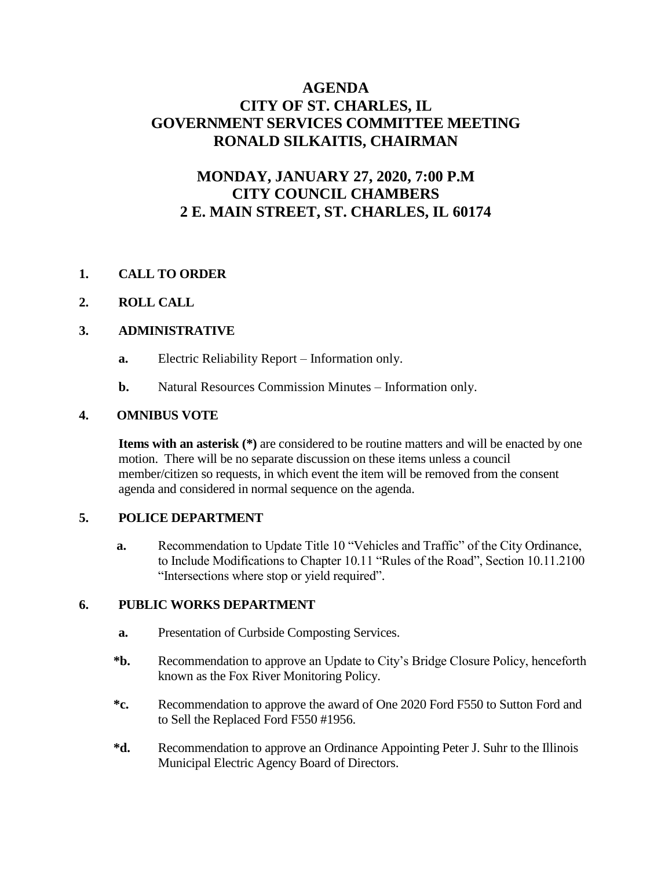# **AGENDA CITY OF ST. CHARLES, IL GOVERNMENT SERVICES COMMITTEE MEETING RONALD SILKAITIS, CHAIRMAN**

# **MONDAY, JANUARY 27, 2020, 7:00 P.M CITY COUNCIL CHAMBERS 2 E. MAIN STREET, ST. CHARLES, IL 60174**

## **1. CALL TO ORDER**

### **2. ROLL CALL**

### **3. ADMINISTRATIVE**

- **a.** Electric Reliability Report Information only.
- **b.** Natural Resources Commission Minutes Information only.

#### **4. OMNIBUS VOTE**

**Items with an asterisk (\*)** are considered to be routine matters and will be enacted by one motion. There will be no separate discussion on these items unless a council member/citizen so requests, in which event the item will be removed from the consent agenda and considered in normal sequence on the agenda.

### **5. POLICE DEPARTMENT**

 **a.** Recommendation to Update Title 10 "Vehicles and Traffic" of the City Ordinance, to Include Modifications to Chapter 10.11 "Rules of the Road", Section 10.11.2100 "Intersections where stop or yield required".

#### **6. PUBLIC WORKS DEPARTMENT**

- **a.** Presentation of Curbside Composting Services.
- **\*b.** Recommendation to approve an Update to City's Bridge Closure Policy, henceforth known as the Fox River Monitoring Policy.
- **\*c.** Recommendation to approve the award of One 2020 Ford F550 to Sutton Ford and to Sell the Replaced Ford F550 #1956.
- **\*d.** Recommendation to approve an Ordinance Appointing Peter J. Suhr to the Illinois Municipal Electric Agency Board of Directors.